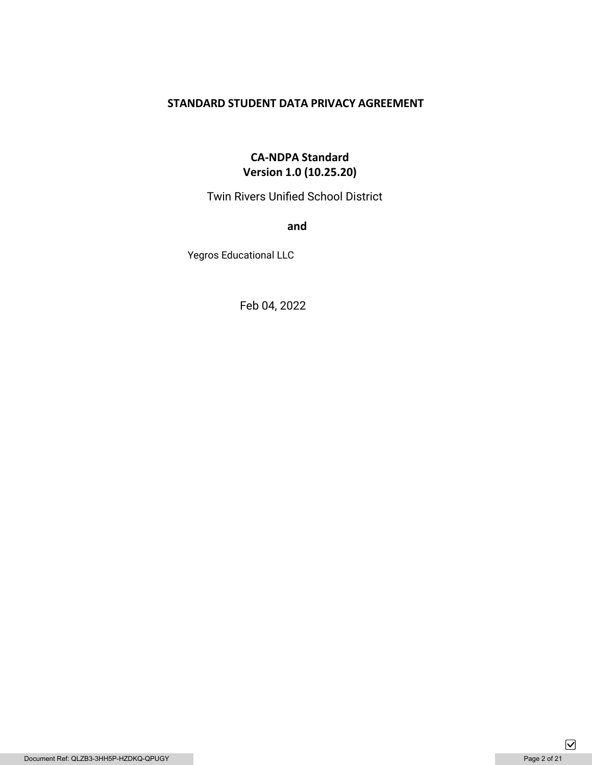# **STANDARD STUDENT DATA PRIVACY AGREEMENT**

# **CA-NDPA Standard Version 1.0 (10.25.20)**

Twin Rivers Unified School District

**and** 

Yegros Educational LLC

Feb 04, 2022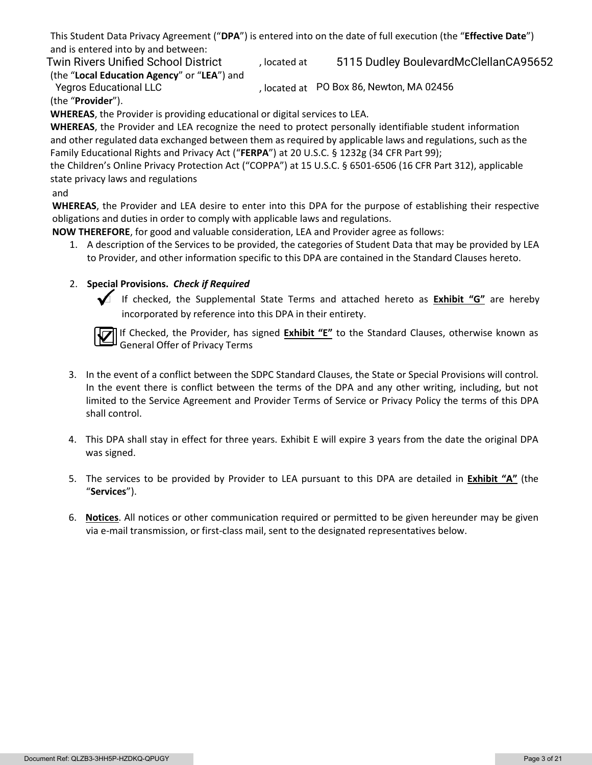This Student Data Privacy Agreement ("**DPA**") is entered into on the date of full execution (the "**Effective Date**") and is entered into by and between:

(the "**Local Education Agency**" or "**LEA**") and

, located at Twin Rivers Unified School District (b) discreed at 5115 Dudley BoulevardMcClellanCA95652

Yegros Educational LLC **Notational CLC**, located at PO Box 86, Newton, MA 02456 (the "**Provider**").

**WHEREAS**, the Provider is providing educational or digital services to LEA.

**WHEREAS**, the Provider and LEA recognize the need to protect personally identifiable student information and other regulated data exchanged between them as required by applicable laws and regulations, such as the Family Educational Rights and Privacy Act ("**FERPA**") at 20 U.S.C. § 1232g (34 CFR Part 99);

the Children's Online Privacy Protection Act ("COPPA") at 15 U.S.C. § 6501-6506 (16 CFR Part 312), applicable state privacy laws and regulations

# and

**WHEREAS**, the Provider and LEA desire to enter into this DPA for the purpose of establishing their respective obligations and duties in order to comply with applicable laws and regulations.

**NOW THEREFORE**, for good and valuable consideration, LEA and Provider agree as follows:

1. A description of the Services to be provided, the categories of Student Data that may be provided by LEA to Provider, and other information specific to this DPA are contained in the Standard Clauses hereto.

# 2. **Special Provisions.** *Check if Required*



 If checked, the Supplemental State Terms and attached hereto as **Exhibit "G"** are hereby incorporated by reference into this DPA in their entirety.



If Checked, the Provider, has signed **Exhibit "E"** to the Standard Clauses, otherwise known as General Offer of Privacy Terms

- 3. In the event of a conflict between the SDPC Standard Clauses, the State or Special Provisions will control. In the event there is conflict between the terms of the DPA and any other writing, including, but not limited to the Service Agreement and Provider Terms of Service or Privacy Policy the terms of this DPA shall control.
- 4. This DPA shall stay in effect for three years. Exhibit E will expire 3 years from the date the original DPA was signed.
- 5. The services to be provided by Provider to LEA pursuant to this DPA are detailed in **Exhibit "A"** (the "**Services**").
- 6. **Notices**. All notices or other communication required or permitted to be given hereunder may be given via e-mail transmission, or first-class mail, sent to the designated representatives below.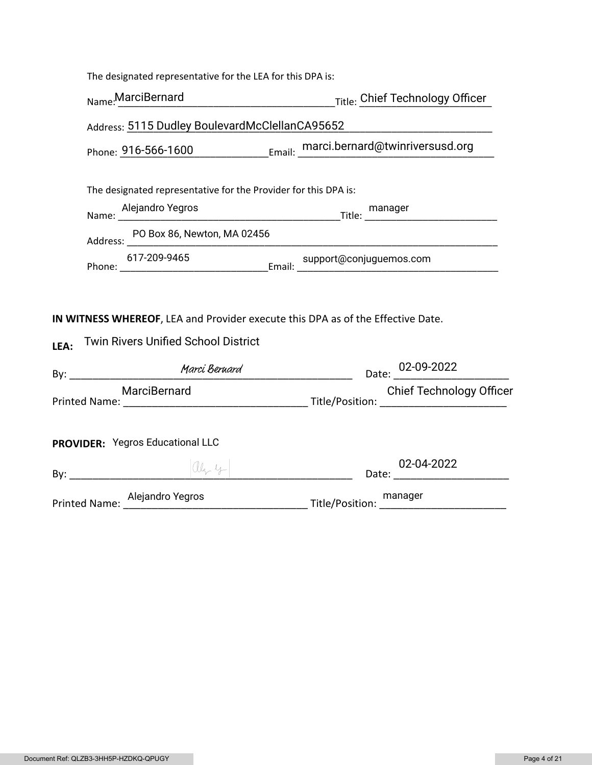| The designated representative for the LEA for this DPA is:                                                                            |                                                                                                                        |  |
|---------------------------------------------------------------------------------------------------------------------------------------|------------------------------------------------------------------------------------------------------------------------|--|
| Name: MarciBernard                                                                                                                    | Title: Chief Technology Officer                                                                                        |  |
| Address: 5115 Dudley BoulevardMcClellanCA95652                                                                                        |                                                                                                                        |  |
|                                                                                                                                       | Phone: 916-566-1600 Email: marci.bernard@twinriversusd.org                                                             |  |
| The designated representative for the Provider for this DPA is:                                                                       |                                                                                                                        |  |
|                                                                                                                                       | Mame: Alejandro Yegros Mame: Mame: Mame: Mame: Mame: Mame: Mame: Mame: Mame: Mame: Mame: Mame: Mame: Mame: Mam         |  |
|                                                                                                                                       |                                                                                                                        |  |
| 617-209-9465                                                                                                                          |                                                                                                                        |  |
| IN WITNESS WHEREOF, LEA and Provider execute this DPA as of the Effective Date.<br><b>Twin Rivers Unified School District</b><br>LEA: |                                                                                                                        |  |
|                                                                                                                                       | Date: 02-09-2022                                                                                                       |  |
|                                                                                                                                       | MarciBernard Chief Lecrifiques (Marcis Marcibernard Chief Lecrifiques of the Printed Name:<br>Chief Technology Officer |  |
| <b>PROVIDER: Yegros Educational LLC</b>                                                                                               |                                                                                                                        |  |
|                                                                                                                                       |                                                                                                                        |  |
|                                                                                                                                       | Printed Name: Alejandro Yegros Manager Manager Manager Manager Manager Manager                                         |  |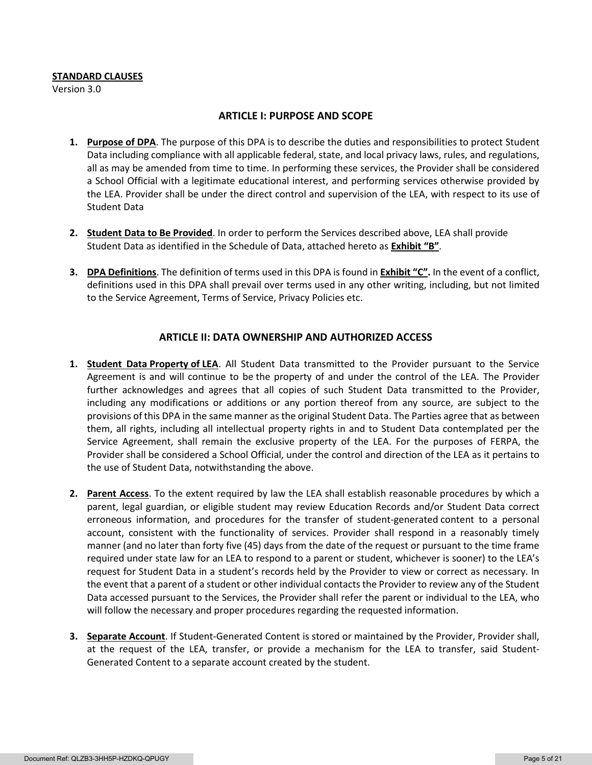#### **STANDARD CLAUSES**

Version 3.0

#### **ARTICLE I: PURPOSE AND SCOPE**

- **1. Purpose of DPA**. The purpose of this DPA is to describe the duties and responsibilities to protect Student Data including compliance with all applicable federal, state, and local privacy laws, rules, and regulations, all as may be amended from time to time. In performing these services, the Provider shall be considered a School Official with a legitimate educational interest, and performing services otherwise provided by the LEA. Provider shall be under the direct control and supervision of the LEA, with respect to its use of Student Data
- **2. Student Data to Be Provided**. In order to perform the Services described above, LEA shall provide Student Data as identified in the Schedule of Data, attached hereto as **Exhibit "B"**.
- **3. DPA Definitions**. The definition of terms used in this DPA is found in **Exhibit "C".** In the event of a conflict, definitions used in this DPA shall prevail over terms used in any other writing, including, but not limited to the Service Agreement, Terms of Service, Privacy Policies etc.

## **ARTICLE II: DATA OWNERSHIP AND AUTHORIZED ACCESS**

- **1. Student Data Property of LEA**. All Student Data transmitted to the Provider pursuant to the Service Agreement is and will continue to be the property of and under the control of the LEA. The Provider further acknowledges and agrees that all copies of such Student Data transmitted to the Provider, including any modifications or additions or any portion thereof from any source, are subject to the provisions of this DPA in the same manner as the original Student Data. The Parties agree that as between them, all rights, including all intellectual property rights in and to Student Data contemplated per the Service Agreement, shall remain the exclusive property of the LEA. For the purposes of FERPA, the Provider shall be considered a School Official, under the control and direction of the LEA as it pertains to the use of Student Data, notwithstanding the above.
- **2. Parent Access**. To the extent required by law the LEA shall establish reasonable procedures by which a parent, legal guardian, or eligible student may review Education Records and/or Student Data correct erroneous information, and procedures for the transfer of student-generated content to a personal account, consistent with the functionality of services. Provider shall respond in a reasonably timely manner (and no later than forty five (45) days from the date of the request or pursuant to the time frame required under state law for an LEA to respond to a parent or student, whichever is sooner) to the LEA's request for Student Data in a student's records held by the Provider to view or correct as necessary. In the event that a parent of a student or other individual contacts the Provider to review any of the Student Data accessed pursuant to the Services, the Provider shall refer the parent or individual to the LEA, who will follow the necessary and proper procedures regarding the requested information.
- **3. Separate Account**. If Student-Generated Content is stored or maintained by the Provider, Provider shall, at the request of the LEA, transfer, or provide a mechanism for the LEA to transfer, said Student-Generated Content to a separate account created by the student.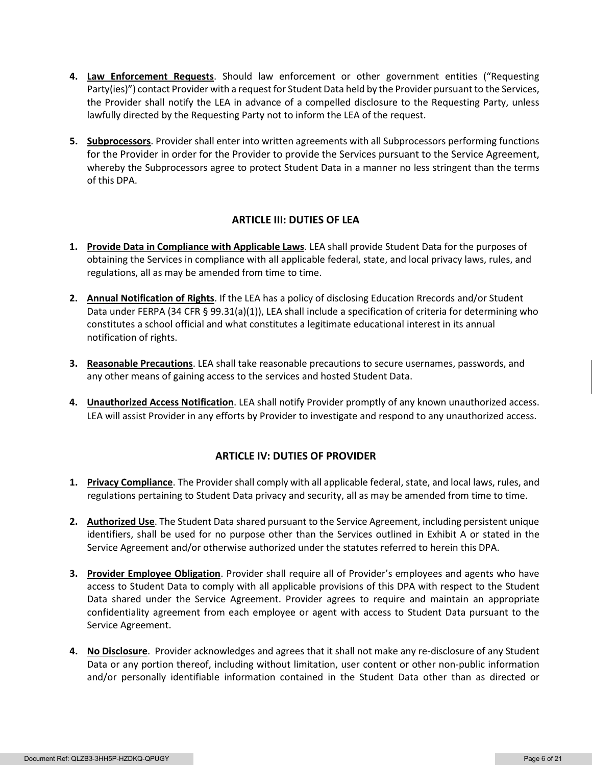- **4. Law Enforcement Requests**. Should law enforcement or other government entities ("Requesting Party(ies)") contact Provider with a request for Student Data held by the Provider pursuant to the Services, the Provider shall notify the LEA in advance of a compelled disclosure to the Requesting Party, unless lawfully directed by the Requesting Party not to inform the LEA of the request.
- **5. Subprocessors**. Provider shall enter into written agreements with all Subprocessors performing functions for the Provider in order for the Provider to provide the Services pursuant to the Service Agreement, whereby the Subprocessors agree to protect Student Data in a manner no less stringent than the terms of this DPA.

# **ARTICLE III: DUTIES OF LEA**

- **1. Provide Data in Compliance with Applicable Laws**. LEA shall provide Student Data for the purposes of obtaining the Services in compliance with all applicable federal, state, and local privacy laws, rules, and regulations, all as may be amended from time to time.
- **2. Annual Notification of Rights**. If the LEA has a policy of disclosing Education Rrecords and/or Student Data under FERPA (34 CFR § 99.31(a)(1)), LEA shall include a specification of criteria for determining who constitutes a school official and what constitutes a legitimate educational interest in its annual notification of rights.
- **3. Reasonable Precautions**. LEA shall take reasonable precautions to secure usernames, passwords, and any other means of gaining access to the services and hosted Student Data.
- **4. Unauthorized Access Notification**. LEA shall notify Provider promptly of any known unauthorized access. LEA will assist Provider in any efforts by Provider to investigate and respond to any unauthorized access.

# **ARTICLE IV: DUTIES OF PROVIDER**

- **1. Privacy Compliance**. The Provider shall comply with all applicable federal, state, and local laws, rules, and regulations pertaining to Student Data privacy and security, all as may be amended from time to time.
- **2. Authorized Use**. The Student Data shared pursuant to the Service Agreement, including persistent unique identifiers, shall be used for no purpose other than the Services outlined in Exhibit A or stated in the Service Agreement and/or otherwise authorized under the statutes referred to herein this DPA.
- **3. Provider Employee Obligation**. Provider shall require all of Provider's employees and agents who have access to Student Data to comply with all applicable provisions of this DPA with respect to the Student Data shared under the Service Agreement. Provider agrees to require and maintain an appropriate confidentiality agreement from each employee or agent with access to Student Data pursuant to the Service Agreement.
- **4. No Disclosure**. Provider acknowledges and agrees that it shall not make any re-disclosure of any Student Data or any portion thereof, including without limitation, user content or other non-public information and/or personally identifiable information contained in the Student Data other than as directed or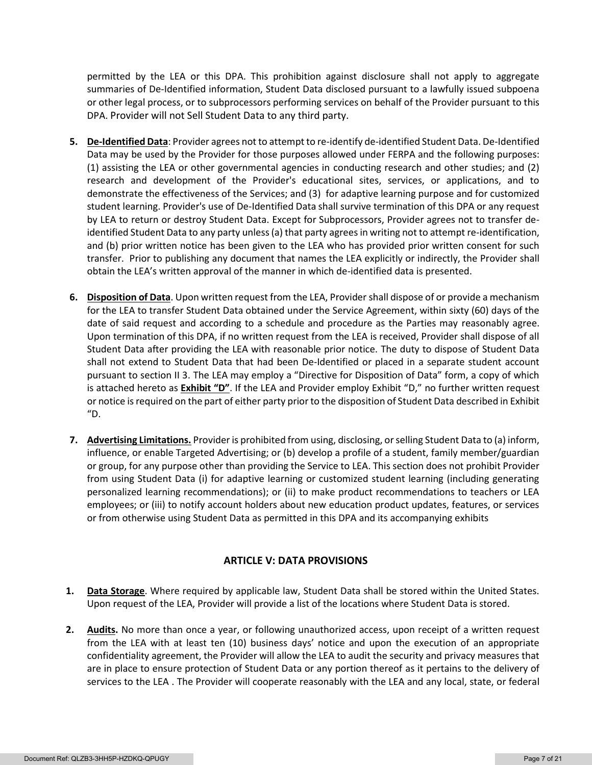permitted by the LEA or this DPA. This prohibition against disclosure shall not apply to aggregate summaries of De-Identified information, Student Data disclosed pursuant to a lawfully issued subpoena or other legal process, or to subprocessors performing services on behalf of the Provider pursuant to this DPA. Provider will not Sell Student Data to any third party.

- **5. De-Identified Data**: Provider agrees not to attempt to re-identify de-identified Student Data. De-Identified Data may be used by the Provider for those purposes allowed under FERPA and the following purposes: (1) assisting the LEA or other governmental agencies in conducting research and other studies; and (2) research and development of the Provider's educational sites, services, or applications, and to demonstrate the effectiveness of the Services; and (3) for adaptive learning purpose and for customized student learning. Provider's use of De-Identified Data shall survive termination of this DPA or any request by LEA to return or destroy Student Data. Except for Subprocessors, Provider agrees not to transfer deidentified Student Data to any party unless (a) that party agrees in writing not to attempt re-identification, and (b) prior written notice has been given to the LEA who has provided prior written consent for such transfer. Prior to publishing any document that names the LEA explicitly or indirectly, the Provider shall obtain the LEA's written approval of the manner in which de-identified data is presented.
- **6. Disposition of Data**. Upon written request from the LEA, Provider shall dispose of or provide a mechanism for the LEA to transfer Student Data obtained under the Service Agreement, within sixty (60) days of the date of said request and according to a schedule and procedure as the Parties may reasonably agree. Upon termination of this DPA, if no written request from the LEA is received, Provider shall dispose of all Student Data after providing the LEA with reasonable prior notice. The duty to dispose of Student Data shall not extend to Student Data that had been De-Identified or placed in a separate student account pursuant to section II 3. The LEA may employ a "Directive for Disposition of Data" form, a copy of which is attached hereto as **Exhibit "D"**. If the LEA and Provider employ Exhibit "D," no further written request or notice is required on the part of either party prior to the disposition of Student Data described in Exhibit "D.
- **7. Advertising Limitations.** Provider is prohibited from using, disclosing, or selling Student Data to (a) inform, influence, or enable Targeted Advertising; or (b) develop a profile of a student, family member/guardian or group, for any purpose other than providing the Service to LEA. This section does not prohibit Provider from using Student Data (i) for adaptive learning or customized student learning (including generating personalized learning recommendations); or (ii) to make product recommendations to teachers or LEA employees; or (iii) to notify account holders about new education product updates, features, or services or from otherwise using Student Data as permitted in this DPA and its accompanying exhibits

# **ARTICLE V: DATA PROVISIONS**

- **1. Data Storage**. Where required by applicable law, Student Data shall be stored within the United States. Upon request of the LEA, Provider will provide a list of the locations where Student Data is stored.
- **2. Audits.** No more than once a year, or following unauthorized access, upon receipt of a written request from the LEA with at least ten (10) business days' notice and upon the execution of an appropriate confidentiality agreement, the Provider will allow the LEA to audit the security and privacy measures that are in place to ensure protection of Student Data or any portion thereof as it pertains to the delivery of services to the LEA . The Provider will cooperate reasonably with the LEA and any local, state, or federal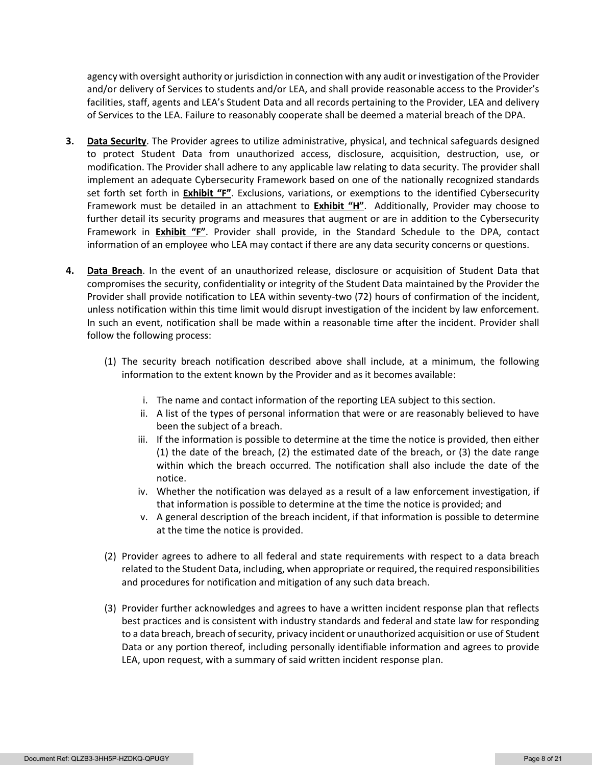agency with oversight authority or jurisdiction in connection with any audit or investigation of the Provider and/or delivery of Services to students and/or LEA, and shall provide reasonable access to the Provider's facilities, staff, agents and LEA's Student Data and all records pertaining to the Provider, LEA and delivery of Services to the LEA. Failure to reasonably cooperate shall be deemed a material breach of the DPA.

- **3. Data Security**. The Provider agrees to utilize administrative, physical, and technical safeguards designed to protect Student Data from unauthorized access, disclosure, acquisition, destruction, use, or modification. The Provider shall adhere to any applicable law relating to data security. The provider shall implement an adequate Cybersecurity Framework based on one of the nationally recognized standards set forth set forth in **Exhibit "F"**. Exclusions, variations, or exemptions to the identified Cybersecurity Framework must be detailed in an attachment to **Exhibit "H"**. Additionally, Provider may choose to further detail its security programs and measures that augment or are in addition to the Cybersecurity Framework in **Exhibit "F"**. Provider shall provide, in the Standard Schedule to the DPA, contact information of an employee who LEA may contact if there are any data security concerns or questions.
- **4. Data Breach**. In the event of an unauthorized release, disclosure or acquisition of Student Data that compromises the security, confidentiality or integrity of the Student Data maintained by the Provider the Provider shall provide notification to LEA within seventy-two (72) hours of confirmation of the incident, unless notification within this time limit would disrupt investigation of the incident by law enforcement. In such an event, notification shall be made within a reasonable time after the incident. Provider shall follow the following process:
	- (1) The security breach notification described above shall include, at a minimum, the following information to the extent known by the Provider and as it becomes available:
		- i. The name and contact information of the reporting LEA subject to this section.
		- ii. A list of the types of personal information that were or are reasonably believed to have been the subject of a breach.
		- iii. If the information is possible to determine at the time the notice is provided, then either (1) the date of the breach, (2) the estimated date of the breach, or (3) the date range within which the breach occurred. The notification shall also include the date of the notice.
		- iv. Whether the notification was delayed as a result of a law enforcement investigation, if that information is possible to determine at the time the notice is provided; and
		- v. A general description of the breach incident, if that information is possible to determine at the time the notice is provided.
	- (2) Provider agrees to adhere to all federal and state requirements with respect to a data breach related to the Student Data, including, when appropriate or required, the required responsibilities and procedures for notification and mitigation of any such data breach.
	- (3) Provider further acknowledges and agrees to have a written incident response plan that reflects best practices and is consistent with industry standards and federal and state law for responding to a data breach, breach of security, privacy incident or unauthorized acquisition or use of Student Data or any portion thereof, including personally identifiable information and agrees to provide LEA, upon request, with a summary of said written incident response plan.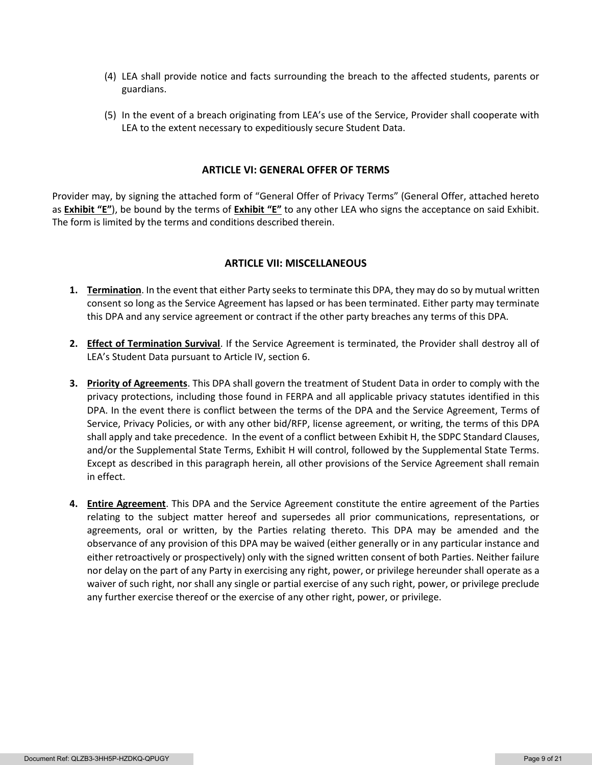- (4) LEA shall provide notice and facts surrounding the breach to the affected students, parents or guardians.
- (5) In the event of a breach originating from LEA's use of the Service, Provider shall cooperate with LEA to the extent necessary to expeditiously secure Student Data.

#### **ARTICLE VI: GENERAL OFFER OF TERMS**

Provider may, by signing the attached form of "General Offer of Privacy Terms" (General Offer, attached hereto as **Exhibit "E"**), be bound by the terms of **Exhibit "E"** to any other LEA who signs the acceptance on said Exhibit. The form is limited by the terms and conditions described therein.

#### **ARTICLE VII: MISCELLANEOUS**

- **1. Termination**. In the event that either Party seeks to terminate this DPA, they may do so by mutual written consent so long as the Service Agreement has lapsed or has been terminated. Either party may terminate this DPA and any service agreement or contract if the other party breaches any terms of this DPA.
- **2. Effect of Termination Survival**. If the Service Agreement is terminated, the Provider shall destroy all of LEA's Student Data pursuant to Article IV, section 6.
- **3. Priority of Agreements**. This DPA shall govern the treatment of Student Data in order to comply with the privacy protections, including those found in FERPA and all applicable privacy statutes identified in this DPA. In the event there is conflict between the terms of the DPA and the Service Agreement, Terms of Service, Privacy Policies, or with any other bid/RFP, license agreement, or writing, the terms of this DPA shall apply and take precedence. In the event of a conflict between Exhibit H, the SDPC Standard Clauses, and/or the Supplemental State Terms, Exhibit H will control, followed by the Supplemental State Terms. Except as described in this paragraph herein, all other provisions of the Service Agreement shall remain in effect.
- **4. Entire Agreement**. This DPA and the Service Agreement constitute the entire agreement of the Parties relating to the subject matter hereof and supersedes all prior communications, representations, or agreements, oral or written, by the Parties relating thereto. This DPA may be amended and the observance of any provision of this DPA may be waived (either generally or in any particular instance and either retroactively or prospectively) only with the signed written consent of both Parties. Neither failure nor delay on the part of any Party in exercising any right, power, or privilege hereunder shall operate as a waiver of such right, nor shall any single or partial exercise of any such right, power, or privilege preclude any further exercise thereof or the exercise of any other right, power, or privilege.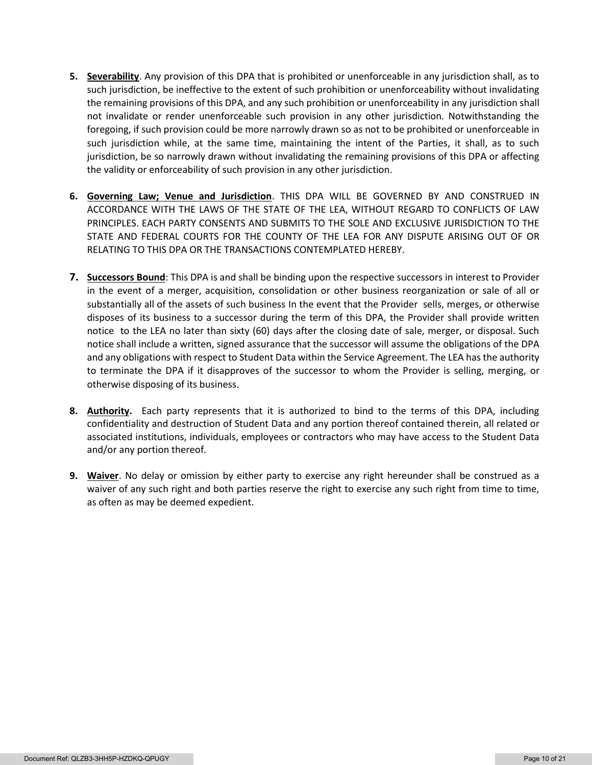- **5. Severability**. Any provision of this DPA that is prohibited or unenforceable in any jurisdiction shall, as to such jurisdiction, be ineffective to the extent of such prohibition or unenforceability without invalidating the remaining provisions of this DPA, and any such prohibition or unenforceability in any jurisdiction shall not invalidate or render unenforceable such provision in any other jurisdiction. Notwithstanding the foregoing, if such provision could be more narrowly drawn so as not to be prohibited or unenforceable in such jurisdiction while, at the same time, maintaining the intent of the Parties, it shall, as to such jurisdiction, be so narrowly drawn without invalidating the remaining provisions of this DPA or affecting the validity or enforceability of such provision in any other jurisdiction.
- **6. Governing Law; Venue and Jurisdiction**. THIS DPA WILL BE GOVERNED BY AND CONSTRUED IN ACCORDANCE WITH THE LAWS OF THE STATE OF THE LEA, WITHOUT REGARD TO CONFLICTS OF LAW PRINCIPLES. EACH PARTY CONSENTS AND SUBMITS TO THE SOLE AND EXCLUSIVE JURISDICTION TO THE STATE AND FEDERAL COURTS FOR THE COUNTY OF THE LEA FOR ANY DISPUTE ARISING OUT OF OR RELATING TO THIS DPA OR THE TRANSACTIONS CONTEMPLATED HEREBY.
- **7. Successors Bound**: This DPA is and shall be binding upon the respective successors in interest to Provider in the event of a merger, acquisition, consolidation or other business reorganization or sale of all or substantially all of the assets of such business In the event that the Provider sells, merges, or otherwise disposes of its business to a successor during the term of this DPA, the Provider shall provide written notice to the LEA no later than sixty (60) days after the closing date of sale, merger, or disposal. Such notice shall include a written, signed assurance that the successor will assume the obligations of the DPA and any obligations with respect to Student Data within the Service Agreement. The LEA has the authority to terminate the DPA if it disapproves of the successor to whom the Provider is selling, merging, or otherwise disposing of its business.
- **8. Authority.** Each party represents that it is authorized to bind to the terms of this DPA, including confidentiality and destruction of Student Data and any portion thereof contained therein, all related or associated institutions, individuals, employees or contractors who may have access to the Student Data and/or any portion thereof.
- **9. Waiver**. No delay or omission by either party to exercise any right hereunder shall be construed as a waiver of any such right and both parties reserve the right to exercise any such right from time to time, as often as may be deemed expedient.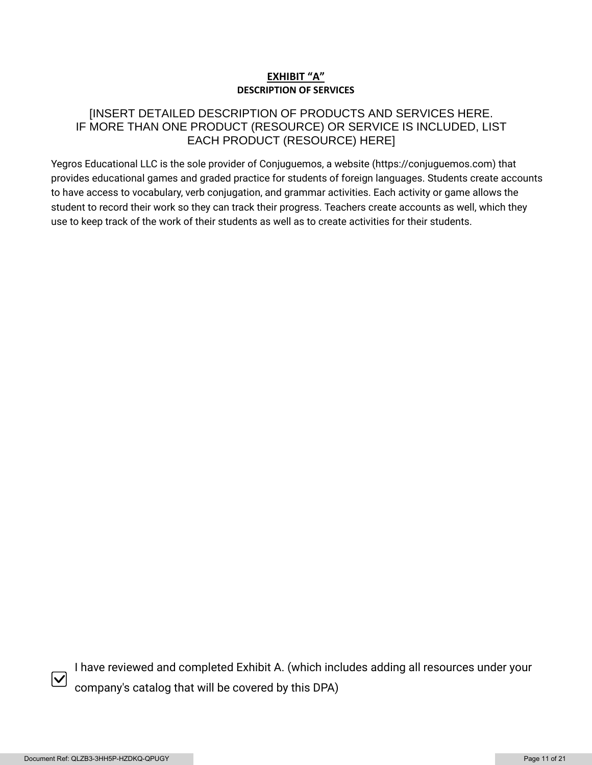# **EXHIBIT "A" DESCRIPTION OF SERVICES**

# [INSERT DETAILED DESCRIPTION OF PRODUCTS AND SERVICES HERE. IF MORE THAN ONE PRODUCT (RESOURCE) OR SERVICE IS INCLUDED, LIST EACH PRODUCT (RESOURCE) HERE]

Yegros Educational LLC is the sole provider of Conjuguemos, a website (https://conjuguemos.com) that provides educational games and graded practice for students of foreign languages. Students create accounts to have access to vocabulary, verb conjugation, and grammar activities. Each activity or game allows the student to record their work so they can track their progress. Teachers create accounts as well, which they use to keep track of the work of their students as well as to create activities for their students.



I have reviewed and completed Exhibit A. (which includes adding all resources under your company's catalog that will be covered by this DPA)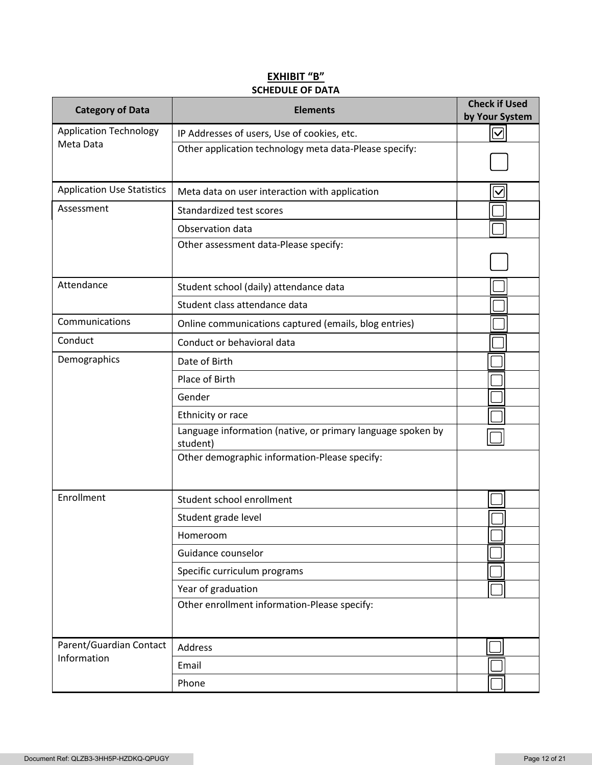# **EXHIBIT "B" SCHEDULE OF DATA**

| <b>Category of Data</b>           | <b>Elements</b>                                                         | <b>Check if Used</b><br>by Your System |
|-----------------------------------|-------------------------------------------------------------------------|----------------------------------------|
| <b>Application Technology</b>     | IP Addresses of users, Use of cookies, etc.                             | $\blacktriangledown$                   |
| Meta Data                         | Other application technology meta data-Please specify:                  |                                        |
| <b>Application Use Statistics</b> | Meta data on user interaction with application                          | $\bm{\vee}$                            |
| Assessment                        | Standardized test scores                                                |                                        |
|                                   | Observation data                                                        |                                        |
|                                   | Other assessment data-Please specify:                                   |                                        |
| Attendance                        | Student school (daily) attendance data                                  |                                        |
|                                   | Student class attendance data                                           |                                        |
| Communications                    | Online communications captured (emails, blog entries)                   |                                        |
| Conduct                           | Conduct or behavioral data                                              |                                        |
| Demographics                      | Date of Birth                                                           |                                        |
|                                   | Place of Birth                                                          |                                        |
|                                   | Gender                                                                  |                                        |
|                                   | Ethnicity or race                                                       |                                        |
|                                   | Language information (native, or primary language spoken by<br>student) |                                        |
|                                   | Other demographic information-Please specify:                           |                                        |
| Enrollment                        | Student school enrollment                                               |                                        |
|                                   | Student grade level                                                     |                                        |
|                                   | Homeroom                                                                |                                        |
|                                   | Guidance counselor                                                      |                                        |
|                                   | Specific curriculum programs                                            |                                        |
|                                   | Year of graduation                                                      |                                        |
|                                   | Other enrollment information-Please specify:                            |                                        |
| Parent/Guardian Contact           | Address                                                                 |                                        |
| Information                       | Email                                                                   |                                        |
|                                   | Phone                                                                   |                                        |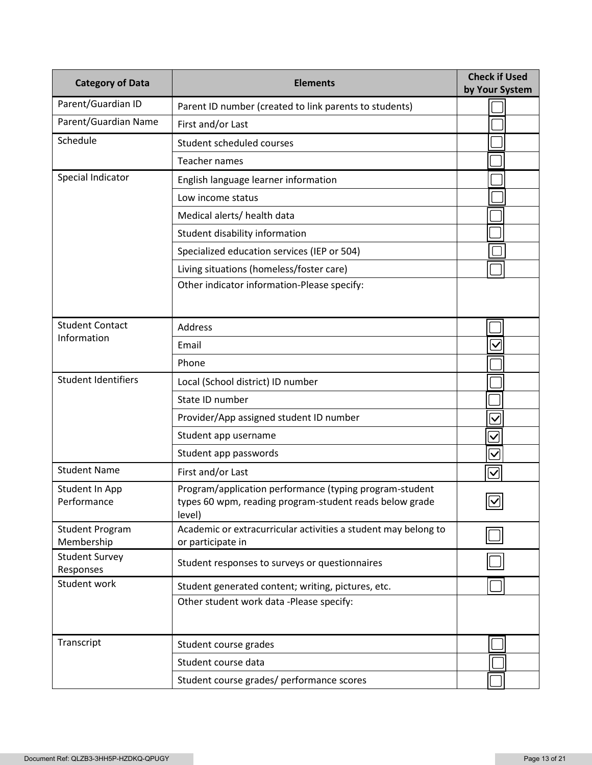| <b>Category of Data</b>              | <b>Elements</b>                                                                                                              | <b>Check if Used</b><br>by Your System |
|--------------------------------------|------------------------------------------------------------------------------------------------------------------------------|----------------------------------------|
| Parent/Guardian ID                   | Parent ID number (created to link parents to students)                                                                       |                                        |
| Parent/Guardian Name                 | First and/or Last                                                                                                            |                                        |
| Schedule                             | Student scheduled courses                                                                                                    |                                        |
|                                      | Teacher names                                                                                                                |                                        |
| Special Indicator                    | English language learner information                                                                                         |                                        |
|                                      | Low income status                                                                                                            |                                        |
|                                      | Medical alerts/ health data                                                                                                  |                                        |
|                                      | Student disability information                                                                                               |                                        |
|                                      | Specialized education services (IEP or 504)                                                                                  |                                        |
|                                      | Living situations (homeless/foster care)                                                                                     |                                        |
|                                      | Other indicator information-Please specify:                                                                                  |                                        |
| <b>Student Contact</b>               | <b>Address</b>                                                                                                               |                                        |
| Information                          | Email                                                                                                                        | $\overline{\checkmark}$                |
|                                      | Phone                                                                                                                        |                                        |
| <b>Student Identifiers</b>           | Local (School district) ID number                                                                                            |                                        |
|                                      | State ID number                                                                                                              |                                        |
|                                      | Provider/App assigned student ID number                                                                                      | $\overline{\vee}$                      |
|                                      | Student app username                                                                                                         | $\checkmark$                           |
|                                      | Student app passwords                                                                                                        | $\overline{\checkmark}$                |
| <b>Student Name</b>                  | First and/or Last                                                                                                            | $\overline{\vee}$                      |
| Student In App<br>Performance        | Program/application performance (typing program-student<br>types 60 wpm, reading program-student reads below grade<br>level) | $\boxed{\textcolor{blue}{\mathbb{Z}}}$ |
| <b>Student Program</b><br>Membership | Academic or extracurricular activities a student may belong to<br>or participate in                                          |                                        |
| <b>Student Survey</b><br>Responses   | Student responses to surveys or questionnaires                                                                               |                                        |
| Student work                         | Student generated content; writing, pictures, etc.                                                                           |                                        |
|                                      | Other student work data -Please specify:                                                                                     |                                        |
| Transcript                           | Student course grades                                                                                                        |                                        |
|                                      | Student course data                                                                                                          |                                        |
|                                      | Student course grades/ performance scores                                                                                    |                                        |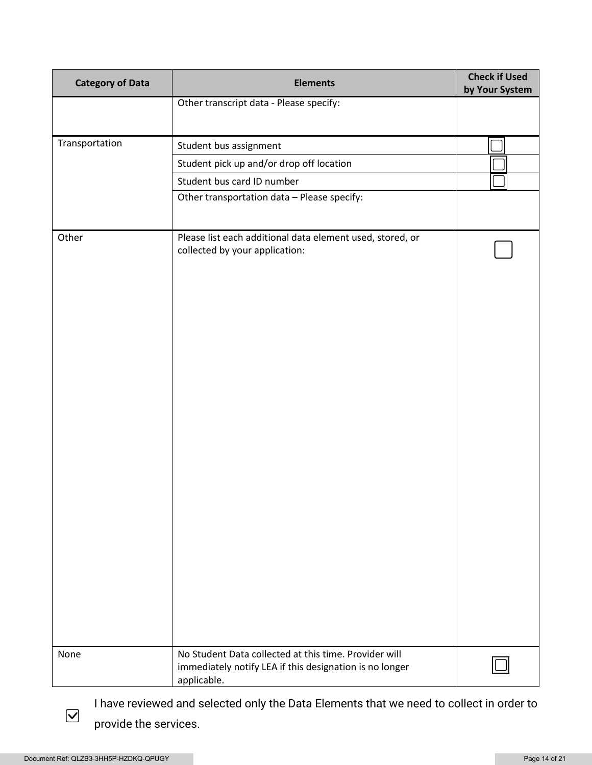| <b>Category of Data</b> | <b>Elements</b>                                                                                                                 | <b>Check if Used</b><br>by Your System |
|-------------------------|---------------------------------------------------------------------------------------------------------------------------------|----------------------------------------|
|                         | Other transcript data - Please specify:                                                                                         |                                        |
|                         |                                                                                                                                 |                                        |
| Transportation          | Student bus assignment                                                                                                          |                                        |
|                         | Student pick up and/or drop off location                                                                                        |                                        |
|                         | Student bus card ID number                                                                                                      |                                        |
|                         | Other transportation data - Please specify:                                                                                     |                                        |
|                         |                                                                                                                                 |                                        |
| Other                   | Please list each additional data element used, stored, or<br>collected by your application:                                     |                                        |
|                         |                                                                                                                                 |                                        |
| None                    | No Student Data collected at this time. Provider will<br>immediately notify LEA if this designation is no longer<br>applicable. |                                        |

I have reviewed and selected only the Data Elements that we need to collect in order to provide the services.

 $\boxed{\blacktriangledown}$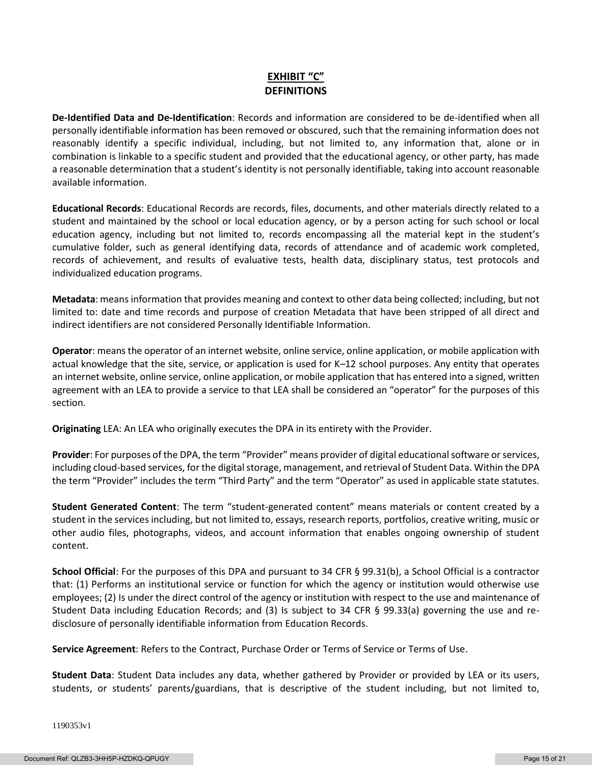# **EXHIBIT "C" DEFINITIONS**

**De-Identified Data and De-Identification**: Records and information are considered to be de-identified when all personally identifiable information has been removed or obscured, such that the remaining information does not reasonably identify a specific individual, including, but not limited to, any information that, alone or in combination is linkable to a specific student and provided that the educational agency, or other party, has made a reasonable determination that a student's identity is not personally identifiable, taking into account reasonable available information.

**Educational Records**: Educational Records are records, files, documents, and other materials directly related to a student and maintained by the school or local education agency, or by a person acting for such school or local education agency, including but not limited to, records encompassing all the material kept in the student's cumulative folder, such as general identifying data, records of attendance and of academic work completed, records of achievement, and results of evaluative tests, health data, disciplinary status, test protocols and individualized education programs.

**Metadata**: means information that provides meaning and context to other data being collected; including, but not limited to: date and time records and purpose of creation Metadata that have been stripped of all direct and indirect identifiers are not considered Personally Identifiable Information.

**Operator**: means the operator of an internet website, online service, online application, or mobile application with actual knowledge that the site, service, or application is used for K–12 school purposes. Any entity that operates an internet website, online service, online application, or mobile application that has entered into a signed, written agreement with an LEA to provide a service to that LEA shall be considered an "operator" for the purposes of this section.

**Originating** LEA: An LEA who originally executes the DPA in its entirety with the Provider.

**Provider**: For purposes of the DPA, the term "Provider" means provider of digital educational software or services, including cloud-based services, for the digital storage, management, and retrieval of Student Data. Within the DPA the term "Provider" includes the term "Third Party" and the term "Operator" as used in applicable state statutes.

**Student Generated Content**: The term "student-generated content" means materials or content created by a student in the services including, but not limited to, essays, research reports, portfolios, creative writing, music or other audio files, photographs, videos, and account information that enables ongoing ownership of student content.

**School Official**: For the purposes of this DPA and pursuant to 34 CFR § 99.31(b), a School Official is a contractor that: (1) Performs an institutional service or function for which the agency or institution would otherwise use employees; (2) Is under the direct control of the agency or institution with respect to the use and maintenance of Student Data including Education Records; and (3) Is subject to 34 CFR § 99.33(a) governing the use and redisclosure of personally identifiable information from Education Records.

**Service Agreement**: Refers to the Contract, Purchase Order or Terms of Service or Terms of Use.

**Student Data**: Student Data includes any data, whether gathered by Provider or provided by LEA or its users, students, or students' parents/guardians, that is descriptive of the student including, but not limited to,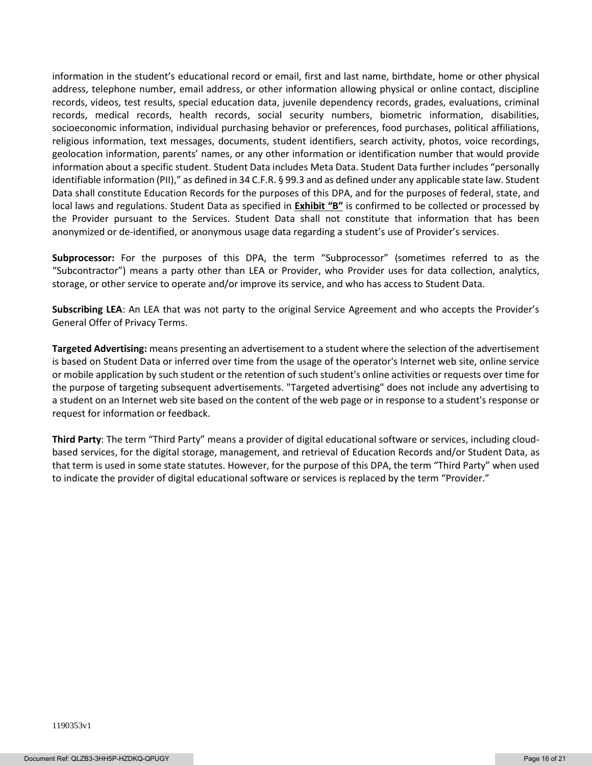information in the student's educational record or email, first and last name, birthdate, home or other physical address, telephone number, email address, or other information allowing physical or online contact, discipline records, videos, test results, special education data, juvenile dependency records, grades, evaluations, criminal records, medical records, health records, social security numbers, biometric information, disabilities, socioeconomic information, individual purchasing behavior or preferences, food purchases, political affiliations, religious information, text messages, documents, student identifiers, search activity, photos, voice recordings, geolocation information, parents' names, or any other information or identification number that would provide information about a specific student. Student Data includes Meta Data. Student Data further includes "personally identifiable information (PII)," as defined in 34 C.F.R. § 99.3 and as defined under any applicable state law. Student Data shall constitute Education Records for the purposes of this DPA, and for the purposes of federal, state, and local laws and regulations. Student Data as specified in **Exhibit "B"** is confirmed to be collected or processed by the Provider pursuant to the Services. Student Data shall not constitute that information that has been anonymized or de-identified, or anonymous usage data regarding a student's use of Provider's services.

**Subprocessor:** For the purposes of this DPA, the term "Subprocessor" (sometimes referred to as the "Subcontractor") means a party other than LEA or Provider, who Provider uses for data collection, analytics, storage, or other service to operate and/or improve its service, and who has access to Student Data.

**Subscribing LEA**: An LEA that was not party to the original Service Agreement and who accepts the Provider's General Offer of Privacy Terms.

**Targeted Advertising:** means presenting an advertisement to a student where the selection of the advertisement is based on Student Data or inferred over time from the usage of the operator's Internet web site, online service or mobile application by such student or the retention of such student's online activities or requests over time for the purpose of targeting subsequent advertisements. "Targeted advertising" does not include any advertising to a student on an Internet web site based on the content of the web page or in response to a student's response or request for information or feedback.

**Third Party**: The term "Third Party" means a provider of digital educational software or services, including cloudbased services, for the digital storage, management, and retrieval of Education Records and/or Student Data, as that term is used in some state statutes. However, for the purpose of this DPA, the term "Third Party" when used to indicate the provider of digital educational software or services is replaced by the term "Provider."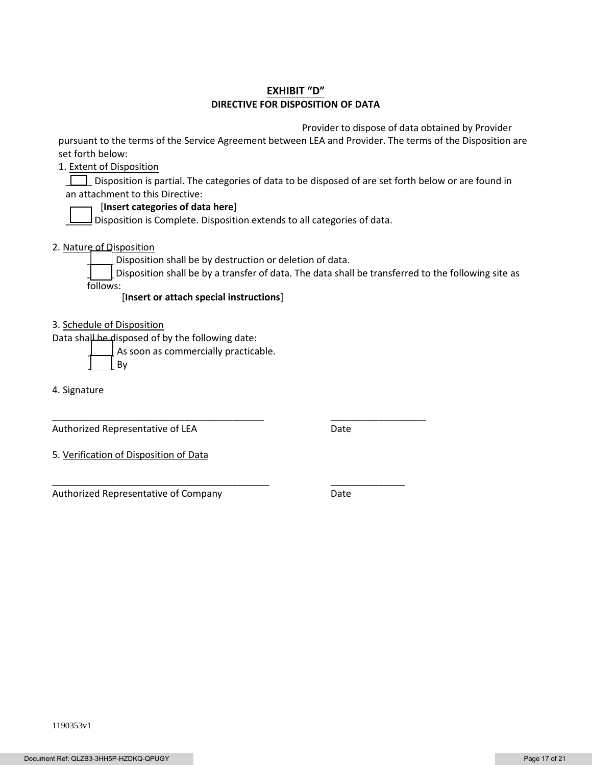## **EXHIBIT "D" DIRECTIVE FOR DISPOSITION OF DATA**

Provider to dispose of data obtained by Provider

pursuant to the terms of the Service Agreement between LEA and Provider. The terms of the Disposition are set forth below:

1. Extent of Disposition

Disposition is partial. The categories of data to be disposed of are set forth below or are found in an attachment to this Directive:

#### [**Insert categories of data here**]

 $\Box$  Disposition is Complete. Disposition extends to all categories of data.

2. Nature of Disposition

Disposition shall be by destruction or deletion of data.

\_\_\_\_\_\_\_\_\_\_\_\_\_\_\_\_\_\_\_\_\_\_\_\_\_\_\_\_\_\_\_\_\_\_\_\_\_\_\_\_ \_\_\_\_\_\_\_\_\_\_\_\_\_\_\_\_\_\_

\_\_\_\_\_\_\_\_\_\_\_\_\_\_\_\_\_\_\_\_\_\_\_\_\_\_\_\_\_\_\_\_\_\_\_\_\_\_\_\_\_ \_\_\_\_\_\_\_\_\_\_\_\_\_\_

Disposition shall be by a transfer of data. The data shall be transferred to the following site as follows:

[**Insert or attach special instructions**]

3. Schedule of Disposition

Data shall be disposed of by the following date:

As soon as commercially practicable.

\_\_\_\_\_ By

4. Signature

Authorized Representative of LEA Date

5. Verification of Disposition of Data

Authorized Representative of Company **Date**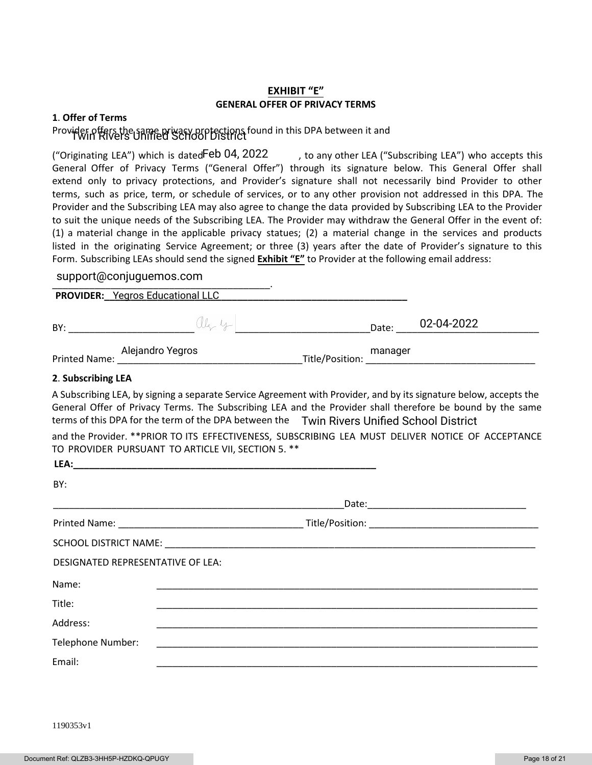## **EXHIBIT "E" GENERAL OFFER OF PRIVACY TERMS**

#### **1**. **Offer of Terms**

# Provider offers the game privacy protections found in this DPA between it and

, to any other LEA ("Subscribing LEA") who accepts this General Offer of Privacy Terms ("General Offer") through its signature below. This General Offer shall extend only to privacy protections, and Provider's signature shall not necessarily bind Provider to other terms, such as price, term, or schedule of services, or to any other provision not addressed in this DPA. The Provider and the Subscribing LEA may also agree to change the data provided by Subscribing LEA to the Provider to suit the unique needs of the Subscribing LEA. The Provider may withdraw the General Offer in the event of: (1) a material change in the applicable privacy statues; (2) a material change in the services and products listed in the originating Service Agreement; or three (3) years after the date of Provider's signature to this Form. Subscribing LEAs should send the signed **Exhibit "E"** to Provider at the following email address: ("Originating LEA") which is datedFeb 04, 2022

# \_\_\_\_\_\_\_\_\_\_\_\_\_\_\_\_\_\_\_\_\_\_\_\_\_\_\_\_\_\_\_\_\_\_\_\_\_\_\_\_\_. support@conjuguemos.com

**PROVIDER:\_\_\_\_\_\_\_\_\_\_\_\_\_\_\_\_\_\_\_\_\_\_\_\_\_\_\_\_\_\_\_\_\_\_\_\_\_\_\_\_\_\_\_\_\_\_\_\_\_\_\_\_\_\_\_\_\_** Yegros Educational LLC

| BY:           | lle y            |                 | Date:   | 02-04-2022 |
|---------------|------------------|-----------------|---------|------------|
| Printed Name: | Alejandro Yegros | Title/Position: | manager |            |
|               |                  |                 |         |            |

#### **2**. **Subscribing LEA**

A Subscribing LEA, by signing a separate Service Agreement with Provider, and by its signature below, accepts the General Offer of Privacy Terms. The Subscribing LEA and the Provider shall therefore be bound by the same terms of this DPA for the term of the DPA between the Twin Rivers Unified School District

and the Provider. \*\*PRIOR TO ITS EFFECTIVENESS, SUBSCRIBING LEA MUST DELIVER NOTICE OF ACCEPTANCE TO PROVIDER PURSUANT TO ARTICLE VII, SECTION 5. \*\*

| LEA:                              |  |
|-----------------------------------|--|
| BY:                               |  |
|                                   |  |
|                                   |  |
|                                   |  |
| DESIGNATED REPRESENTATIVE OF LEA: |  |
| Name:                             |  |
| Title:                            |  |
| Address:                          |  |
| Telephone Number:                 |  |
| Email:                            |  |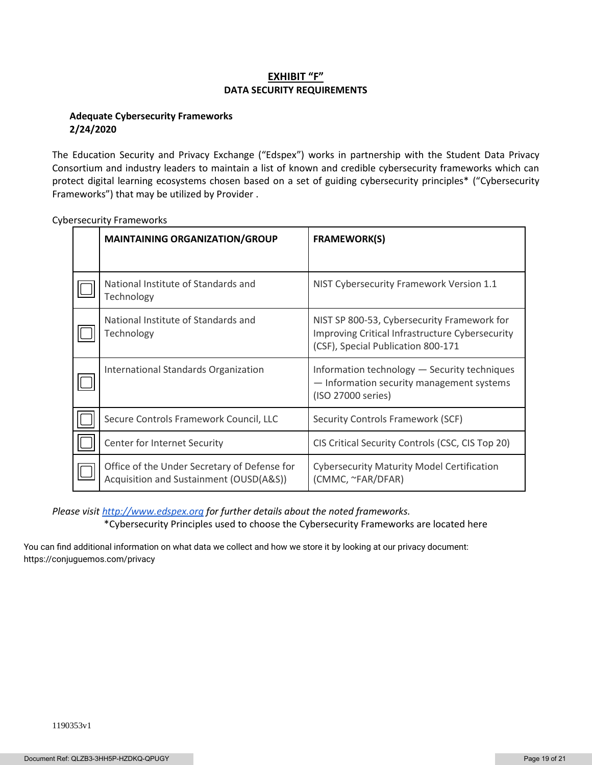## **EXHIBIT "F" DATA SECURITY REQUIREMENTS**

### **Adequate Cybersecurity Frameworks 2/24/2020**

The Education Security and Privacy Exchange ("Edspex") works in partnership with the Student Data Privacy Consortium and industry leaders to maintain a list of known and credible cybersecurity frameworks which can protect digital learning ecosystems chosen based on a set of guiding cybersecurity principles\* ("Cybersecurity Frameworks") that may be utilized by Provider .

| <b>MAINTAINING ORGANIZATION/GROUP</b>                                                   | <b>FRAMEWORK(S)</b>                                                                                                                  |
|-----------------------------------------------------------------------------------------|--------------------------------------------------------------------------------------------------------------------------------------|
|                                                                                         |                                                                                                                                      |
| National Institute of Standards and<br>Technology                                       | NIST Cybersecurity Framework Version 1.1                                                                                             |
| National Institute of Standards and<br>Technology                                       | NIST SP 800-53, Cybersecurity Framework for<br>Improving Critical Infrastructure Cybersecurity<br>(CSF), Special Publication 800-171 |
| International Standards Organization                                                    | Information technology - Security techniques<br>- Information security management systems<br>(ISO 27000 series)                      |
| Secure Controls Framework Council, LLC                                                  | Security Controls Framework (SCF)                                                                                                    |
| Center for Internet Security                                                            | CIS Critical Security Controls (CSC, CIS Top 20)                                                                                     |
| Office of the Under Secretary of Defense for<br>Acquisition and Sustainment (OUSD(A&S)) | <b>Cybersecurity Maturity Model Certification</b><br>(CMMC, ~FAR/DFAR)                                                               |

Cybersecurity Frameworks

*Please visi[t http://www.edspex.org](http://www.edspex.org/) for further details about the noted frameworks.* \*Cybersecurity Principles used to choose the Cybersecurity Frameworks are located here

You can find additional information on what data we collect and how we store it by looking at our privacy document: https://conjuguemos.com/privacy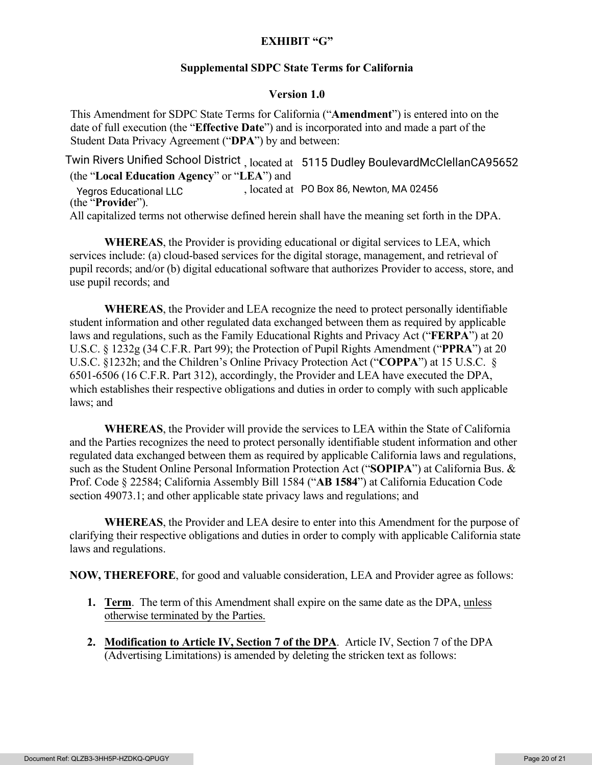# **EXHIBIT "G"**

# **Supplemental SDPC State Terms for California**

# **Version 1.0**

This Amendment for SDPC State Terms for California ("**Amendment**") is entered into on the date of full execution (the "**Effective Date**") and is incorporated into and made a part of the Student Data Privacy Agreement ("**DPA**") by and between:

Twin Rivers Unified School District<sub>, located at 15115 Dudley BoulevardMcClellanCA95652</sub> (the "**Local Education Agency**" or "**LEA**") and Yegros Educational LLC , located at PO Box 86, Newton, MA 02456 (the "**Provide**r"). All capitalized terms not otherwise defined herein shall have the meaning set forth in the DPA.

**WHEREAS**, the Provider is providing educational or digital services to LEA, which services include: (a) cloud-based services for the digital storage, management, and retrieval of pupil records; and/or (b) digital educational software that authorizes Provider to access, store, and use pupil records; and

**WHEREAS**, the Provider and LEA recognize the need to protect personally identifiable student information and other regulated data exchanged between them as required by applicable laws and regulations, such as the Family Educational Rights and Privacy Act ("**FERPA**") at 20 U.S.C. § 1232g (34 C.F.R. Part 99); the Protection of Pupil Rights Amendment ("**PPRA**") at 20 U.S.C. §1232h; and the Children's Online Privacy Protection Act ("**COPPA**") at 15 U.S.C. § 6501-6506 (16 C.F.R. Part 312), accordingly, the Provider and LEA have executed the DPA, which establishes their respective obligations and duties in order to comply with such applicable laws; and

**WHEREAS**, the Provider will provide the services to LEA within the State of California and the Parties recognizes the need to protect personally identifiable student information and other regulated data exchanged between them as required by applicable California laws and regulations, such as the Student Online Personal Information Protection Act ("**SOPIPA**") at California Bus. & Prof. Code § 22584; California Assembly Bill 1584 ("**AB 1584**") at California Education Code section 49073.1; and other applicable state privacy laws and regulations; and

**WHEREAS**, the Provider and LEA desire to enter into this Amendment for the purpose of clarifying their respective obligations and duties in order to comply with applicable California state laws and regulations.

**NOW, THEREFORE**, for good and valuable consideration, LEA and Provider agree as follows:

- **1. Term**. The term of this Amendment shall expire on the same date as the DPA, unless otherwise terminated by the Parties.
- **2. Modification to Article IV, Section 7 of the DPA**. Article IV, Section 7 of the DPA (Advertising Limitations) is amended by deleting the stricken text as follows: